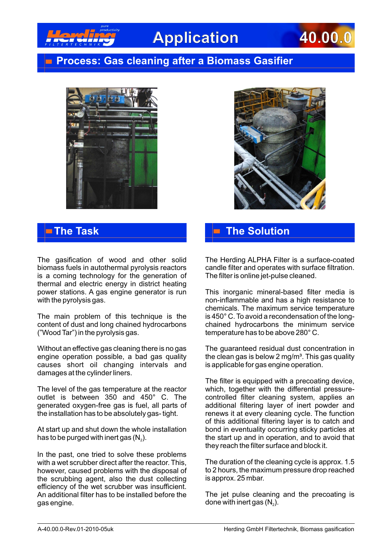

# **Application 40.00.0**

### **Process: Gas cleaning after a Biomass Gasifier**





The gasification of wood and other solid biomass fuels in autothermal pyrolysis reactors is a coming technology for the generation of thermal and electric energy in district heating power stations. A gas engine generator is run with the pyrolysis gas.

The main problem of this technique is the content of dust and long chained hydrocarbons ("Wood Tar") in the pyrolysis gas.

Without an effective gas cleaning there is no gas engine operation possible, a bad gas quality causes short oil changing intervals and damages at the cylinder liners.

The level of the gas temperature at the reactor outlet is between 350 and 450° C. The generated oxygen-free gas is fuel, all parts of the installation has to be absolutely gas- tight.

At start up and shut down the whole installation has to be purged with inert gas  $(N_2)$ .

In the past, one tried to solve these problems with a wet scrubber direct after the reactor. This, however, caused problems with the disposal of the scrubbing agent, also the dust collecting efficiency of the wet scrubber was insufficient. An additional filter has to be installed before the gas engine.

## **The Task The Solution**

The Herding ALPHA Filter is a surface-coated candle filter and operates with surface filtration. The filter is online jet-pulse cleaned.

This inorganic mineral-based filter media is non-inflammable and has a high resistance to chemicals. The maximum service temperature is 450° C. To avoid a recondensation of the longchained hydrocarbons the minimum service temperature has to be above 280° C.

The guaranteed residual dust concentration in the clean gas is below 2 mg/m<sup>3</sup>. This gas quality is applicable for gas engine operation.

The filter is equipped with a precoating device, which, together with the differential pressurecontrolled filter cleaning system, applies an additional filtering layer of inert powder and renews it at every cleaning cycle. The function of this additional filtering layer is to catch and bond in eventuality occurring sticky particles at the start up and in operation, and to avoid that they reach the filter surface and block it.

The duration of the cleaning cycle is approx. 1.5 to 2 hours, the maximum pressure drop reached is approx. 25 mbar.

The jet pulse cleaning and the precoating is done with inert gas  $(N_2)$ .